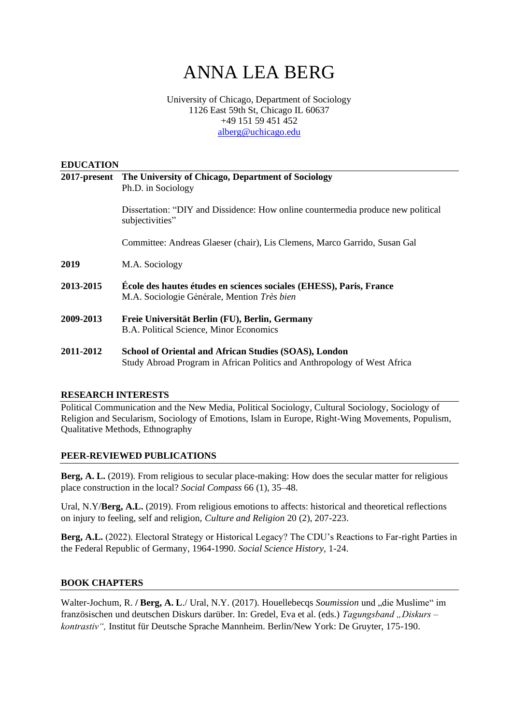# ANNA LEA BERG

## University of Chicago, Department of Sociology 1126 East 59th St, Chicago IL 60637 +49 151 59 451 452 [alberg@uchicago.edu](mailto:alberg@uchicago.edu)

## **EDUCATION**

|           | 2017-present The University of Chicago, Department of Sociology                                                    |
|-----------|--------------------------------------------------------------------------------------------------------------------|
|           | Ph.D. in Sociology                                                                                                 |
|           | Dissertation: "DIY and Dissidence: How online countermedia produce new political<br>subjectivities"                |
|           | Committee: Andreas Glaeser (chair), Lis Clemens, Marco Garrido, Susan Gal                                          |
| 2019      | M.A. Sociology                                                                                                     |
| 2013-2015 | École des hautes études en sciences sociales (EHESS), Paris, France<br>M.A. Sociologie Générale, Mention Très bien |
| 2009-2013 | Freie Universität Berlin (FU), Berlin, Germany<br>B.A. Political Science, Minor Economics                          |
| 2011-2012 | <b>School of Oriental and African Studies (SOAS), London</b>                                                       |

## **RESEARCH INTERESTS**

Political Communication and the New Media, Political Sociology, Cultural Sociology, Sociology of Religion and Secularism, Sociology of Emotions, Islam in Europe, Right-Wing Movements, Populism, Qualitative Methods, Ethnography

Study Abroad Program in African Politics and Anthropology of West Africa

## **PEER-REVIEWED PUBLICATIONS**

**Berg, A. L.** (2019). From religious to secular place-making: How does the secular matter for religious place construction in the local? *Social Compass* 66 (1), 35–48.

Ural, N.Y/**Berg, A.L.** (2019). From religious emotions to affects: historical and theoretical reflections on injury to feeling, self and religion, *Culture and Religion* 20 (2), 207-223.

**Berg, A.L.** (2022). Electoral Strategy or Historical Legacy? The CDU's Reactions to Far-right Parties in the Federal Republic of Germany, 1964-1990. *Social Science History,* 1-24.

## **BOOK CHAPTERS**

Walter-Jochum, R. / Berg, A. L./ Ural, N.Y. (2017). Houellebecqs *Soumission* und "die Muslime" im französischen und deutschen Diskurs darüber. In: Gredel, Eva et al. (eds.) *Tagungsband "Diskurs – kontrastiv",* Institut für Deutsche Sprache Mannheim*.* Berlin/New York: De Gruyter, 175-190.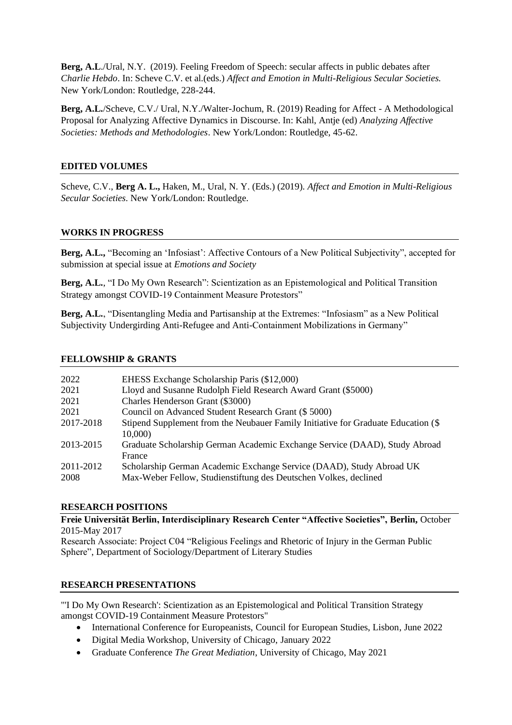**Berg, A.L**./Ural, N.Y. (2019). Feeling Freedom of Speech: secular affects in public debates after *Charlie Hebdo*. In: Scheve C.V. et al.(eds.) *Affect and Emotion in Multi-Religious Secular Societies.*  New York/London: Routledge, 228-244.

**Berg, A.L.**/Scheve, C.V./ Ural, N.Y./Walter-Jochum, R. (2019) Reading for Affect - A Methodological Proposal for Analyzing Affective Dynamics in Discourse. In: Kahl, Antje (ed) *Analyzing Affective Societies: Methods and Methodologies*. New York/London: Routledge, 45-62.

# **EDITED VOLUMES**

Scheve, C.V., **Berg A. L.,** Haken, M., Ural, N. Y. (Eds.) (2019). *Affect and Emotion in Multi-Religious Secular Societies*. New York/London: Routledge.

# **WORKS IN PROGRESS**

**Berg, A.L.,** "Becoming an 'Infosiast': Affective Contours of a New Political Subjectivity", accepted for submission at special issue at *Emotions and Society*

**Berg, A.L.**, "I Do My Own Research": Scientization as an Epistemological and Political Transition Strategy amongst COVID-19 Containment Measure Protestors"

**Berg, A.L.**, "Disentangling Media and Partisanship at the Extremes: "Infosiasm" as a New Political Subjectivity Undergirding Anti-Refugee and Anti-Containment Mobilizations in Germany"

# **FELLOWSHIP & GRANTS**

| 2022      | EHESS Exchange Scholarship Paris (\$12,000)                                                 |
|-----------|---------------------------------------------------------------------------------------------|
| 2021      | Lloyd and Susanne Rudolph Field Research Award Grant (\$5000)                               |
| 2021      | Charles Henderson Grant (\$3000)                                                            |
| 2021      | Council on Advanced Student Research Grant (\$5000)                                         |
| 2017-2018 | Stipend Supplement from the Neubauer Family Initiative for Graduate Education (\$<br>10,000 |
| 2013-2015 | Graduate Scholarship German Academic Exchange Service (DAAD), Study Abroad<br>France        |
| 2011-2012 | Scholarship German Academic Exchange Service (DAAD), Study Abroad UK                        |
| 2008      | Max-Weber Fellow, Studienstiftung des Deutschen Volkes, declined                            |

# **RESEARCH POSITIONS**

**Freie Universität Berlin, Interdisciplinary Research Center "Affective Societies", Berlin,** October 2015-May 2017

Research Associate: Project C04 "Religious Feelings and Rhetoric of Injury in the German Public Sphere", Department of Sociology/Department of Literary Studies

## **RESEARCH PRESENTATIONS**

"'I Do My Own Research': Scientization as an Epistemological and Political Transition Strategy amongst COVID-19 Containment Measure Protestors"

- International Conference for Europeanists, Council for European Studies, Lisbon, June 2022
- Digital Media Workshop, University of Chicago, January 2022
- Graduate Conference *The Great Mediation*, University of Chicago, May 2021